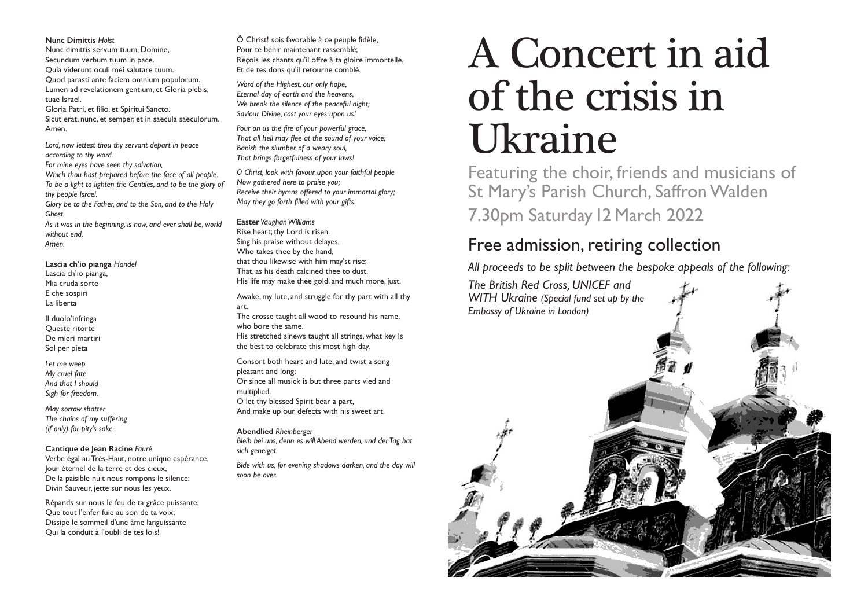#### **Nunc Dimittis** *Holst*

Nunc dimittis servum tuum, Domine, Secundum verbum tuum in pace. Quia viderunt oculi mei salutare tuum. Quod parasti ante faciem omnium populorum. Lumen ad revelationem gentium, et Gloria plebis, tuae Israel. Gloria Patri, et filio, et Spiritui Sancto.

Sicut erat, nunc, et semper, et in saecula saeculorum. Amen.

*Lord, now lettest thou thy servant depart in peace according to thy word. For mine eyes have seen thy salvation, Which thou hast prepared before the face of all people. To be a light to lighten the Gentiles, and to be the glory of thy people Israel. Glory be to the Father, and to the Son, and to the Holy Ghost.* 

*As it was in the beginning, is now, and ever shall be, world without end. Amen.* 

**Lascia ch'io pianga** *Handel* Lascia ch'io pianga, Mia cruda sorte E che sospiri La liberta

Il duolo'infringa Queste ritorte De mieri martiri Sol per pieta

*Let me weep My cruel fate. And that I should Sigh for freedom.*

*May sorrow shatter The chains of my suffering (if only) for pity's sake* 

### **Cantique de Jean Racine** *Fauré*

Verbe égal au Très-Haut, notre unique espérance, Jour éternel de la terre et des cieux, De la paisible nuit nous rompons le silence: Divin Sauveur, jette sur nous les yeux.

Répands sur nous le feu de ta grâce puissante; Que tout l'enfer fuie au son de ta voix; Dissipe le sommeil d'une âme languissante Qui la conduit à l'oubli de tes lois!

Ô Christ! sois favorable à ce peuple fidèle, Pour te bénir maintenant rassemblé; Reçois les chants qu'il offre à ta gloire immortelle, Et de tes dons qu'il retourne comblé.

*Word of the Highest, our only hope, Eternal day of earth and the heavens, We break the silence of the peaceful night; Saviour Divine, cast your eyes upon us!*

*Pour on us the fire of your powerful grace, That all hell may flee at the sound of your voice; Banish the slumber of a weary soul, That brings forgetfulness of your laws!*

*O Christ, look with favour upon your faithful people Now gathered here to praise you; Receive their hymns offered to your immortal glory; May they go forth filled with your gifts.*

**Easter** *Vaughan Williams*

Rise heart; thy Lord is risen. Sing his praise without delayes, Who takes thee by the hand, that thou likewise with him may'st rise; That, as his death calcined thee to dust, His life may make thee gold, and much more, just.

Awake, my lute, and struggle for thy part with all thy art.

The crosse taught all wood to resound his name, who bore the same. His stretched sinews taught all strings, what key Is

the best to celebrate this most high day.

Consort both heart and lute, and twist a song pleasant and long;

Or since all musick is but three parts vied and multiplied.

O let thy blessed Spirit bear a part, And make up our defects with his sweet art.

### **Abendlied** *Rheinberger*

*Bleib bei uns, denn es will Abend werden, und der Tag hat sich geneiget.*

*Bide with us, for evening shadows darken, and the day will soon be over.*

# A Concert in aid of the crisis in Ukraine

Featuring the choir, friends and musicians of St Mary's Parish Church, Saffron Walden 7.30pm Saturday12 March 2022

## Free admission, retiring collection

*All proceeds to be split between the bespoke appeals of the following:*

*The British Red Cross, UNICEF and WITH Ukraine (Special fund set up by the*